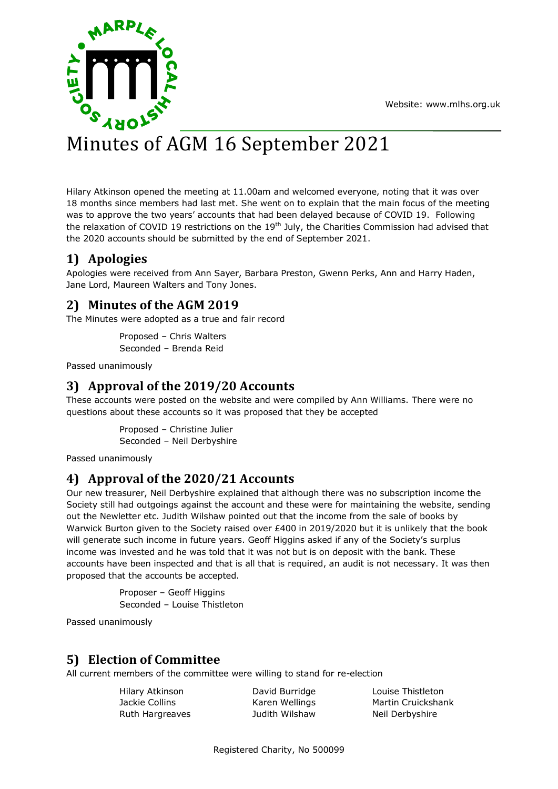Website: [www.mlhs.org.uk](http://www.mlhs.org.uk/)



#### w **v** Minutes of AGM 16 September 2021

h Hilary Atkinson opened the meeting at 11.00am and welcomed everyone, noting that it was over 18 months since members had last met. She went on to explain that the main focus of the meeting . was to approve the two years' accounts that had been delayed because of COVID 19. Following the relaxation of COVID 19 restrictions on the 19<sup>th</sup> July, the Charities Commission had advised that the 2020 accounts should be submitted by the end of September 2021.

# **1) Apologies**

Apologies were received from Ann Sayer, Barbara Preston, Gwenn Perks, Ann and Harry Haden, Jane Lord, Maureen Walters and Tony Jones.

# **2) Minutes of the AGM 2019**

The Minutes were adopted as a true and fair record

Proposed – Chris Walters Seconded – Brenda Reid

Passed unanimously

# **3) Approval of the 2019/20 Accounts**

These accounts were posted on the website and were compiled by Ann Williams. There were no questions about these accounts so it was proposed that they be accepted

> Proposed – Christine Julier Seconded – Neil Derbyshire

Passed unanimously

# **4) Approval of the 2020/21 Accounts**

Our new treasurer, Neil Derbyshire explained that although there was no subscription income the Society still had outgoings against the account and these were for maintaining the website, sending out the Newletter etc. Judith Wilshaw pointed out that the income from the sale of books by Warwick Burton given to the Society raised over £400 in 2019/2020 but it is unlikely that the book will generate such income in future years. Geoff Higgins asked if any of the Society's surplus income was invested and he was told that it was not but is on deposit with the bank. These accounts have been inspected and that is all that is required, an audit is not necessary. It was then proposed that the accounts be accepted.

> Proposer – Geoff Higgins Seconded – Louise Thistleton

Passed unanimously

# **5) Election of Committee**

All current members of the committee were willing to stand for re-election

Ruth Hargreaves **Marging State State Judith Wilshaw** Neil Derbyshire

Hilary Atkinson David Burridge Louise Thistleton Jackie Collins **Karen Wellings** Martin Cruickshank